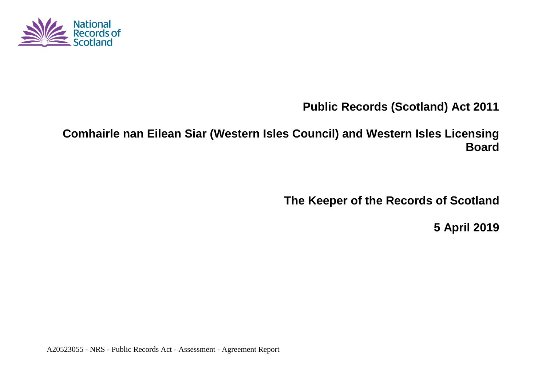

**Public Records (Scotland) Act 2011**

**Comhairle nan Eilean Siar (Western Isles Council) and Western Isles Licensing Board**

**The Keeper of the Records of Scotland**

**5 April 2019**

A20523055 - NRS - Public Records Act - Assessment - Agreement Report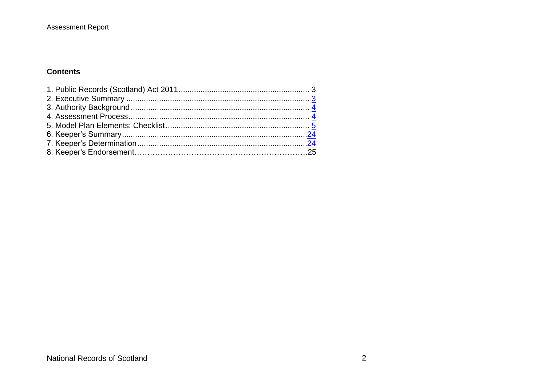#### Assessment Report

#### **Contents**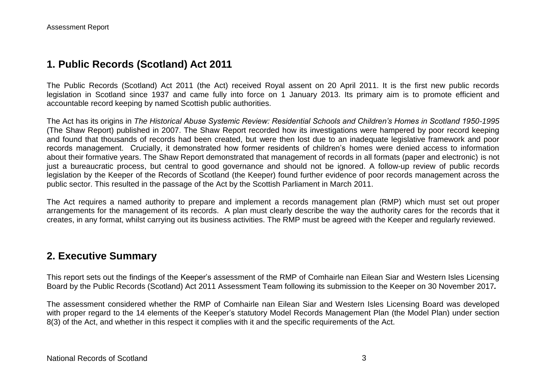### **1. Public Records (Scotland) Act 2011**

The Public Records (Scotland) Act 2011 (the Act) received Royal assent on 20 April 2011. It is the first new public records legislation in Scotland since 1937 and came fully into force on 1 January 2013. Its primary aim is to promote efficient and accountable record keeping by named Scottish public authorities.

The Act has its origins in *The Historical Abuse Systemic Review: Residential Schools and Children's Homes in Scotland 1950-1995* (The Shaw Report) published in 2007. The Shaw Report recorded how its investigations were hampered by poor record keeping and found that thousands of records had been created, but were then lost due to an inadequate legislative framework and poor records management. Crucially, it demonstrated how former residents of children's homes were denied access to information about their formative years. The Shaw Report demonstrated that management of records in all formats (paper and electronic) is not just a bureaucratic process, but central to good governance and should not be ignored. A follow-up review of public records legislation by the Keeper of the Records of Scotland (the Keeper) found further evidence of poor records management across the public sector. This resulted in the passage of the Act by the Scottish Parliament in March 2011.

The Act requires a named authority to prepare and implement a records management plan (RMP) which must set out proper arrangements for the management of its records. A plan must clearly describe the way the authority cares for the records that it creates, in any format, whilst carrying out its business activities. The RMP must be agreed with the Keeper and regularly reviewed.

#### **2. Executive Summary**

This report sets out the findings of the Keeper's assessment of the RMP of Comhairle nan Eilean Siar and Western Isles Licensing Board by the Public Records (Scotland) Act 2011 Assessment Team following its submission to the Keeper on 30 November 2017*.*

The assessment considered whether the RMP of Comhairle nan Eilean Siar and Western Isles Licensing Board was developed with proper regard to the 14 elements of the Keeper's statutory Model Records Management Plan (the Model Plan) under section 8(3) of the Act, and whether in this respect it complies with it and the specific requirements of the Act.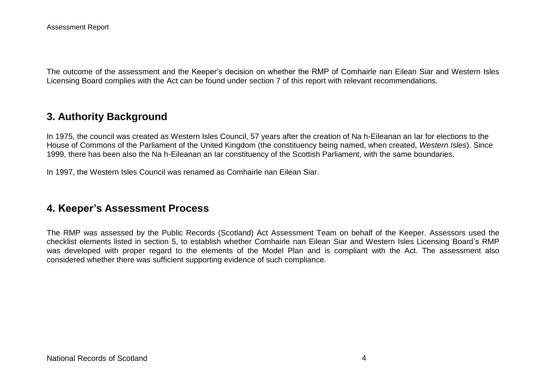The outcome of the assessment and the Keeper's decision on whether the RMP of Comhairle nan Eilean Siar and Western Isles Licensing Board complies with the Act can be found under section 7 of this report with relevant recommendations.

### **3. Authority Background**

In 1975, the council was created as Western Isles Council, 57 years after the creation of Na h-Eileanan an Iar for elections to the House of Commons of the Parliament of the United Kingdom (the constituency being named, when created, *Western Isles*). Since 1999, there has been also the Na h-Eileanan an Iar constituency of the Scottish Parliament, with the same boundaries.

In 1997, the Western Isles Council was renamed as Comhairle nan Eilean Siar.

## **4. Keeper's Assessment Process**

The RMP was assessed by the Public Records (Scotland) Act Assessment Team on behalf of the Keeper. Assessors used the checklist elements listed in section 5, to establish whether Comhairle nan Eilean Siar and Western Isles Licensing Board's RMP was developed with proper regard to the elements of the Model Plan and is compliant with the Act. The assessment also considered whether there was sufficient supporting evidence of such compliance.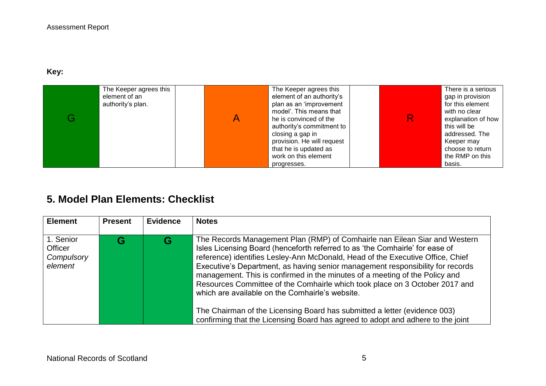### **Key:**

| The Keeper agrees this<br>element of an<br>authority's plan. | The Keeper agrees this<br>element of an authority's<br>plan as an 'improvement<br>model'. This means that<br>he is convinced of the<br>authority's commitment to<br>closing a gap in<br>provision. He will request<br>that he is updated as<br>work on this element | R | There is a serious<br>gap in provision<br>for this element<br>with no clear<br>explanation of how<br>this will be<br>addressed. The<br>Keeper may<br>choose to return<br>the RMP on this |
|--------------------------------------------------------------|---------------------------------------------------------------------------------------------------------------------------------------------------------------------------------------------------------------------------------------------------------------------|---|------------------------------------------------------------------------------------------------------------------------------------------------------------------------------------------|
|                                                              | progresses.                                                                                                                                                                                                                                                         |   | basis.                                                                                                                                                                                   |

# **5. Model Plan Elements: Checklist**

| <b>Element</b> | <b>Present</b> | <b>Evidence</b> | <b>Notes</b>                                                                    |
|----------------|----------------|-----------------|---------------------------------------------------------------------------------|
|                |                |                 |                                                                                 |
| 1. Senior      |                |                 | The Records Management Plan (RMP) of Comhairle nan Eilean Siar and Western      |
| Officer        |                |                 | Isles Licensing Board (henceforth referred to as 'the Comhairle' for ease of    |
| Compulsory     |                |                 | reference) identifies Lesley-Ann McDonald, Head of the Executive Office, Chief  |
| element        |                |                 | Executive's Department, as having senior management responsibility for records  |
|                |                |                 | management. This is confirmed in the minutes of a meeting of the Policy and     |
|                |                |                 | Resources Committee of the Comhairle which took place on 3 October 2017 and     |
|                |                |                 | which are available on the Comhairle's website.                                 |
|                |                |                 |                                                                                 |
|                |                |                 | The Chairman of the Licensing Board has submitted a letter (evidence 003)       |
|                |                |                 | confirming that the Licensing Board has agreed to adopt and adhere to the joint |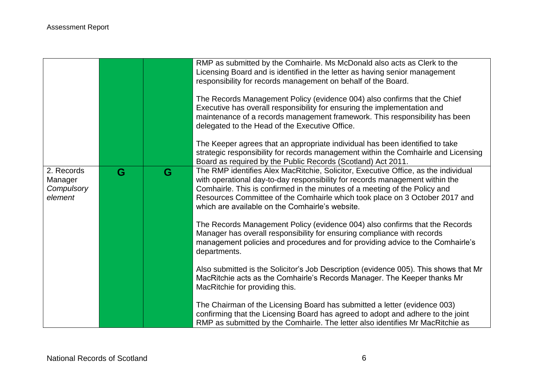|                                                |   |   | RMP as submitted by the Comhairle. Ms McDonald also acts as Clerk to the<br>Licensing Board and is identified in the letter as having senior management<br>responsibility for records management on behalf of the Board.<br>The Records Management Policy (evidence 004) also confirms that the Chief<br>Executive has overall responsibility for ensuring the implementation and<br>maintenance of a records management framework. This responsibility has been<br>delegated to the Head of the Executive Office.<br>The Keeper agrees that an appropriate individual has been identified to take<br>strategic responsibility for records management within the Comhairle and Licensing<br>Board as required by the Public Records (Scotland) Act 2011. |
|------------------------------------------------|---|---|----------------------------------------------------------------------------------------------------------------------------------------------------------------------------------------------------------------------------------------------------------------------------------------------------------------------------------------------------------------------------------------------------------------------------------------------------------------------------------------------------------------------------------------------------------------------------------------------------------------------------------------------------------------------------------------------------------------------------------------------------------|
| 2. Records<br>Manager<br>Compulsory<br>element | G | G | The RMP identifies Alex MacRitchie, Solicitor, Executive Office, as the individual<br>with operational day-to-day responsibility for records management within the<br>Comhairle. This is confirmed in the minutes of a meeting of the Policy and<br>Resources Committee of the Comhairle which took place on 3 October 2017 and<br>which are available on the Comhairle's website.                                                                                                                                                                                                                                                                                                                                                                       |
|                                                |   |   | The Records Management Policy (evidence 004) also confirms that the Records<br>Manager has overall responsibility for ensuring compliance with records<br>management policies and procedures and for providing advice to the Comhairle's<br>departments.                                                                                                                                                                                                                                                                                                                                                                                                                                                                                                 |
|                                                |   |   | Also submitted is the Solicitor's Job Description (evidence 005). This shows that Mr<br>MacRitchie acts as the Comhairle's Records Manager. The Keeper thanks Mr<br>MacRitchie for providing this.                                                                                                                                                                                                                                                                                                                                                                                                                                                                                                                                                       |
|                                                |   |   | The Chairman of the Licensing Board has submitted a letter (evidence 003)<br>confirming that the Licensing Board has agreed to adopt and adhere to the joint<br>RMP as submitted by the Comhairle. The letter also identifies Mr MacRitchie as                                                                                                                                                                                                                                                                                                                                                                                                                                                                                                           |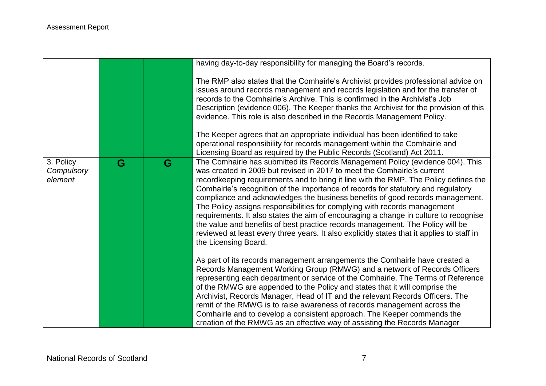|                                    |   |   | having day-to-day responsibility for managing the Board's records.                                                                                                                                                                                                                                                                                                                                                                                                                                                                                                                                                                                                                                                                                                                                   |
|------------------------------------|---|---|------------------------------------------------------------------------------------------------------------------------------------------------------------------------------------------------------------------------------------------------------------------------------------------------------------------------------------------------------------------------------------------------------------------------------------------------------------------------------------------------------------------------------------------------------------------------------------------------------------------------------------------------------------------------------------------------------------------------------------------------------------------------------------------------------|
|                                    |   |   | The RMP also states that the Comhairle's Archivist provides professional advice on<br>issues around records management and records legislation and for the transfer of<br>records to the Comhairle's Archive. This is confirmed in the Archivist's Job<br>Description (evidence 006). The Keeper thanks the Archivist for the provision of this<br>evidence. This role is also described in the Records Management Policy.                                                                                                                                                                                                                                                                                                                                                                           |
|                                    |   |   | The Keeper agrees that an appropriate individual has been identified to take<br>operational responsibility for records management within the Comhairle and<br>Licensing Board as required by the Public Records (Scotland) Act 2011.                                                                                                                                                                                                                                                                                                                                                                                                                                                                                                                                                                 |
| 3. Policy<br>Compulsory<br>element | G | G | The Comhairle has submitted its Records Management Policy (evidence 004). This<br>was created in 2009 but revised in 2017 to meet the Comhairle's current<br>recordkeeping requirements and to bring it line with the RMP. The Policy defines the<br>Comhairle's recognition of the importance of records for statutory and regulatory<br>compliance and acknowledges the business benefits of good records management.<br>The Policy assigns responsibilities for complying with records management<br>requirements. It also states the aim of encouraging a change in culture to recognise<br>the value and benefits of best practice records management. The Policy will be<br>reviewed at least every three years. It also explicitly states that it applies to staff in<br>the Licensing Board. |
|                                    |   |   | As part of its records management arrangements the Comhairle have created a<br>Records Management Working Group (RMWG) and a network of Records Officers<br>representing each department or service of the Comhairle. The Terms of Reference<br>of the RMWG are appended to the Policy and states that it will comprise the<br>Archivist, Records Manager, Head of IT and the relevant Records Officers. The<br>remit of the RMWG is to raise awareness of records management across the<br>Comhairle and to develop a consistent approach. The Keeper commends the<br>creation of the RMWG as an effective way of assisting the Records Manager                                                                                                                                                     |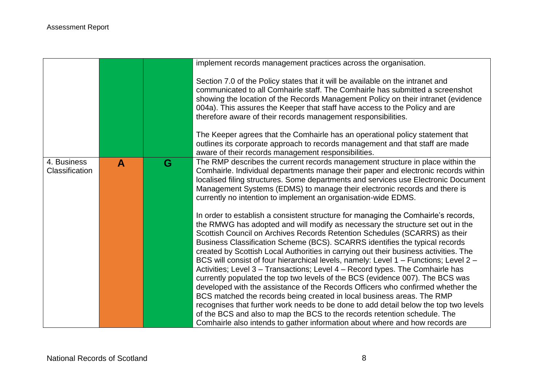|                               |              |   | implement records management practices across the organisation.                                                                                                                                                                                                                                                                                                                                                                                                                                                                                                                                                                                                                                                                                                  |
|-------------------------------|--------------|---|------------------------------------------------------------------------------------------------------------------------------------------------------------------------------------------------------------------------------------------------------------------------------------------------------------------------------------------------------------------------------------------------------------------------------------------------------------------------------------------------------------------------------------------------------------------------------------------------------------------------------------------------------------------------------------------------------------------------------------------------------------------|
|                               |              |   | Section 7.0 of the Policy states that it will be available on the intranet and<br>communicated to all Comhairle staff. The Comhairle has submitted a screenshot<br>showing the location of the Records Management Policy on their intranet (evidence<br>004a). This assures the Keeper that staff have access to the Policy and are<br>therefore aware of their records management responsibilities.                                                                                                                                                                                                                                                                                                                                                             |
|                               |              |   | The Keeper agrees that the Comhairle has an operational policy statement that<br>outlines its corporate approach to records management and that staff are made<br>aware of their records management responsibilities.                                                                                                                                                                                                                                                                                                                                                                                                                                                                                                                                            |
| 4. Business<br>Classification | $\mathbf{A}$ | G | The RMP describes the current records management structure in place within the<br>Comhairle. Individual departments manage their paper and electronic records within<br>localised filing structures. Some departments and services use Electronic Document<br>Management Systems (EDMS) to manage their electronic records and there is<br>currently no intention to implement an organisation-wide EDMS.<br>In order to establish a consistent structure for managing the Comhairle's records,<br>the RMWG has adopted and will modify as necessary the structure set out in the<br>Scottish Council on Archives Records Retention Schedules (SCARRS) as their<br>Business Classification Scheme (BCS). SCARRS identifies the typical records                   |
|                               |              |   | created by Scottish Local Authorities in carrying out their business activities. The<br>BCS will consist of four hierarchical levels, namely: Level 1 – Functions; Level 2 –<br>Activities; Level 3 - Transactions; Level 4 - Record types. The Comhairle has<br>currently populated the top two levels of the BCS (evidence 007). The BCS was<br>developed with the assistance of the Records Officers who confirmed whether the<br>BCS matched the records being created in local business areas. The RMP<br>recognises that further work needs to be done to add detail below the top two levels<br>of the BCS and also to map the BCS to the records retention schedule. The<br>Comhairle also intends to gather information about where and how records are |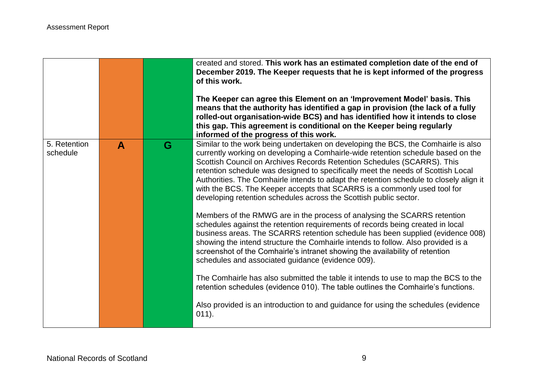|                          |   |   | created and stored. This work has an estimated completion date of the end of<br>December 2019. The Keeper requests that he is kept informed of the progress<br>of this work.<br>The Keeper can agree this Element on an 'Improvement Model' basis. This<br>means that the authority has identified a gap in provision (the lack of a fully<br>rolled-out organisation-wide BCS) and has identified how it intends to close<br>this gap. This agreement is conditional on the Keeper being regularly<br>informed of the progress of this work.                                   |
|--------------------------|---|---|---------------------------------------------------------------------------------------------------------------------------------------------------------------------------------------------------------------------------------------------------------------------------------------------------------------------------------------------------------------------------------------------------------------------------------------------------------------------------------------------------------------------------------------------------------------------------------|
| 5. Retention<br>schedule | A | G | Similar to the work being undertaken on developing the BCS, the Comhairle is also<br>currently working on developing a Comhairle-wide retention schedule based on the<br>Scottish Council on Archives Records Retention Schedules (SCARRS). This<br>retention schedule was designed to specifically meet the needs of Scottish Local<br>Authorities. The Comhairle intends to adapt the retention schedule to closely align it<br>with the BCS. The Keeper accepts that SCARRS is a commonly used tool for<br>developing retention schedules across the Scottish public sector. |
|                          |   |   | Members of the RMWG are in the process of analysing the SCARRS retention<br>schedules against the retention requirements of records being created in local<br>business areas. The SCARRS retention schedule has been supplied (evidence 008)<br>showing the intend structure the Comhairle intends to follow. Also provided is a<br>screenshot of the Comhairle's intranet showing the availability of retention<br>schedules and associated guidance (evidence 009).                                                                                                           |
|                          |   |   | The Comhairle has also submitted the table it intends to use to map the BCS to the<br>retention schedules (evidence 010). The table outlines the Comhairle's functions.<br>Also provided is an introduction to and guidance for using the schedules (evidence<br>$011$ ).                                                                                                                                                                                                                                                                                                       |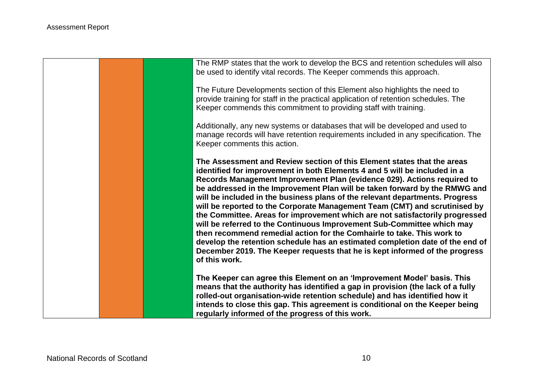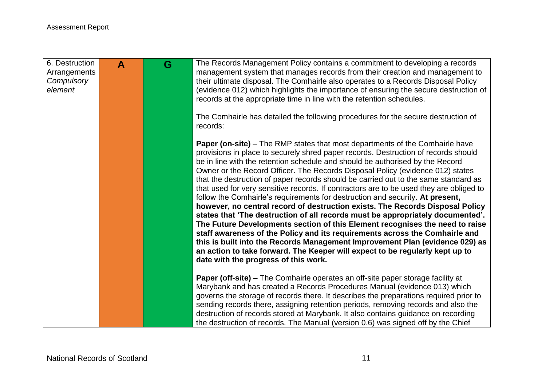| 6. Destruction<br>Arrangements<br>Compulsory<br>element | $\blacktriangle$ | G | The Records Management Policy contains a commitment to developing a records<br>management system that manages records from their creation and management to<br>their ultimate disposal. The Comhairle also operates to a Records Disposal Policy<br>(evidence 012) which highlights the importance of ensuring the secure destruction of<br>records at the appropriate time in line with the retention schedules.                                                                                                                                                                                                                                                                                                                                                                                                                                                                                                                                                                                                                                                                                                                                         |
|---------------------------------------------------------|------------------|---|-----------------------------------------------------------------------------------------------------------------------------------------------------------------------------------------------------------------------------------------------------------------------------------------------------------------------------------------------------------------------------------------------------------------------------------------------------------------------------------------------------------------------------------------------------------------------------------------------------------------------------------------------------------------------------------------------------------------------------------------------------------------------------------------------------------------------------------------------------------------------------------------------------------------------------------------------------------------------------------------------------------------------------------------------------------------------------------------------------------------------------------------------------------|
|                                                         |                  |   | The Comhairle has detailed the following procedures for the secure destruction of<br>records:                                                                                                                                                                                                                                                                                                                                                                                                                                                                                                                                                                                                                                                                                                                                                                                                                                                                                                                                                                                                                                                             |
|                                                         |                  |   | <b>Paper (on-site)</b> – The RMP states that most departments of the Comhairle have<br>provisions in place to securely shred paper records. Destruction of records should<br>be in line with the retention schedule and should be authorised by the Record<br>Owner or the Record Officer. The Records Disposal Policy (evidence 012) states<br>that the destruction of paper records should be carried out to the same standard as<br>that used for very sensitive records. If contractors are to be used they are obliged to<br>follow the Comhairle's requirements for destruction and security. At present,<br>however, no central record of destruction exists. The Records Disposal Policy<br>states that 'The destruction of all records must be appropriately documented'.<br>The Future Developments section of this Element recognises the need to raise<br>staff awareness of the Policy and its requirements across the Comhairle and<br>this is built into the Records Management Improvement Plan (evidence 029) as<br>an action to take forward. The Keeper will expect to be regularly kept up to<br>date with the progress of this work. |
|                                                         |                  |   | <b>Paper (off-site)</b> – The Comhairle operates an off-site paper storage facility at<br>Marybank and has created a Records Procedures Manual (evidence 013) which<br>governs the storage of records there. It describes the preparations required prior to<br>sending records there, assigning retention periods, removing records and also the<br>destruction of records stored at Marybank. It also contains guidance on recording<br>the destruction of records. The Manual (version 0.6) was signed off by the Chief                                                                                                                                                                                                                                                                                                                                                                                                                                                                                                                                                                                                                                |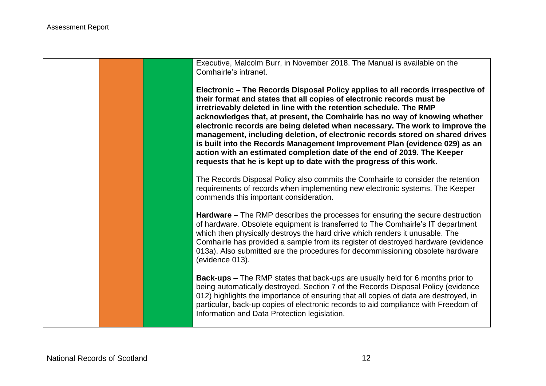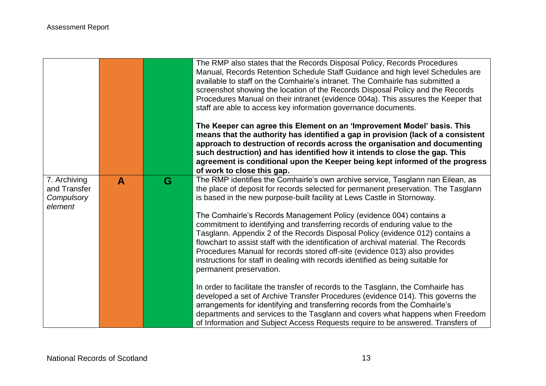|                                            |              |   | The RMP also states that the Records Disposal Policy, Records Procedures<br>Manual, Records Retention Schedule Staff Guidance and high level Schedules are<br>available to staff on the Comhairle's intranet. The Comhairle has submitted a<br>screenshot showing the location of the Records Disposal Policy and the Records<br>Procedures Manual on their intranet (evidence 004a). This assures the Keeper that<br>staff are able to access key information governance documents.<br>The Keeper can agree this Element on an 'Improvement Model' basis. This<br>means that the authority has identified a gap in provision (lack of a consistent<br>approach to destruction of records across the organisation and documenting<br>such destruction) and has identified how it intends to close the gap. This<br>agreement is conditional upon the Keeper being kept informed of the progress<br>of work to close this gap. |
|--------------------------------------------|--------------|---|-------------------------------------------------------------------------------------------------------------------------------------------------------------------------------------------------------------------------------------------------------------------------------------------------------------------------------------------------------------------------------------------------------------------------------------------------------------------------------------------------------------------------------------------------------------------------------------------------------------------------------------------------------------------------------------------------------------------------------------------------------------------------------------------------------------------------------------------------------------------------------------------------------------------------------|
| 7. Archiving<br>and Transfer<br>Compulsory | $\mathbf{A}$ | G | The RMP identifies the Comhairle's own archive service, Tasglann nan Eilean, as<br>the place of deposit for records selected for permanent preservation. The Tasglann<br>is based in the new purpose-built facility at Lews Castle in Stornoway.                                                                                                                                                                                                                                                                                                                                                                                                                                                                                                                                                                                                                                                                              |
| element                                    |              |   | The Comhairle's Records Management Policy (evidence 004) contains a<br>commitment to identifying and transferring records of enduring value to the<br>Tasglann. Appendix 2 of the Records Disposal Policy (evidence 012) contains a<br>flowchart to assist staff with the identification of archival material. The Records<br>Procedures Manual for records stored off-site (evidence 013) also provides<br>instructions for staff in dealing with records identified as being suitable for<br>permanent preservation.                                                                                                                                                                                                                                                                                                                                                                                                        |
|                                            |              |   | In order to facilitate the transfer of records to the Tasglann, the Comhairle has<br>developed a set of Archive Transfer Procedures (evidence 014). This governs the<br>arrangements for identifying and transferring records from the Comhairle's<br>departments and services to the Tasglann and covers what happens when Freedom<br>of Information and Subject Access Requests require to be answered. Transfers of                                                                                                                                                                                                                                                                                                                                                                                                                                                                                                        |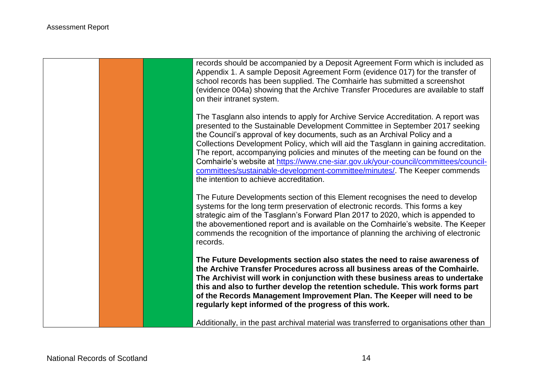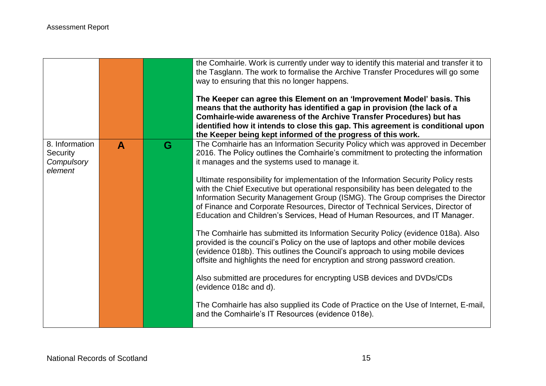|                                                     |              |   | the Comhairle. Work is currently under way to identify this material and transfer it to<br>the Tasglann. The work to formalise the Archive Transfer Procedures will go some<br>way to ensuring that this no longer happens.<br>The Keeper can agree this Element on an 'Improvement Model' basis. This<br>means that the authority has identified a gap in provision (the lack of a<br>Comhairle-wide awareness of the Archive Transfer Procedures) but has<br>identified how it intends to close this gap. This agreement is conditional upon<br>the Keeper being kept informed of the progress of this work.                                                                                                                                                                                                                                                                                                                                                                                                                                                                                                                                                                                                                                  |
|-----------------------------------------------------|--------------|---|-------------------------------------------------------------------------------------------------------------------------------------------------------------------------------------------------------------------------------------------------------------------------------------------------------------------------------------------------------------------------------------------------------------------------------------------------------------------------------------------------------------------------------------------------------------------------------------------------------------------------------------------------------------------------------------------------------------------------------------------------------------------------------------------------------------------------------------------------------------------------------------------------------------------------------------------------------------------------------------------------------------------------------------------------------------------------------------------------------------------------------------------------------------------------------------------------------------------------------------------------|
| 8. Information<br>Security<br>Compulsory<br>element | $\mathbf{A}$ | G | The Comhairle has an Information Security Policy which was approved in December<br>2016. The Policy outlines the Comhairle's commitment to protecting the information<br>it manages and the systems used to manage it.<br>Ultimate responsibility for implementation of the Information Security Policy rests<br>with the Chief Executive but operational responsibility has been delegated to the<br>Information Security Management Group (ISMG). The Group comprises the Director<br>of Finance and Corporate Resources, Director of Technical Services, Director of<br>Education and Children's Services, Head of Human Resources, and IT Manager.<br>The Comhairle has submitted its Information Security Policy (evidence 018a). Also<br>provided is the council's Policy on the use of laptops and other mobile devices<br>(evidence 018b). This outlines the Council's approach to using mobile devices<br>offsite and highlights the need for encryption and strong password creation.<br>Also submitted are procedures for encrypting USB devices and DVDs/CDs<br>(evidence 018c and d).<br>The Comhairle has also supplied its Code of Practice on the Use of Internet, E-mail,<br>and the Comhairle's IT Resources (evidence 018e). |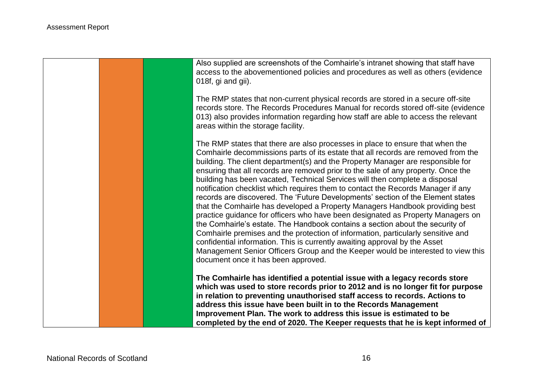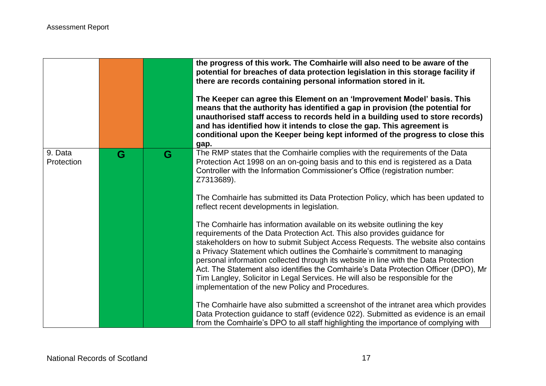|   |   | the progress of this work. The Comhairle will also need to be aware of the<br>potential for breaches of data protection legislation in this storage facility if<br>there are records containing personal information stored in it.<br>The Keeper can agree this Element on an 'Improvement Model' basis. This<br>means that the authority has identified a gap in provision (the potential for<br>unauthorised staff access to records held in a building used to store records)<br>and has identified how it intends to close the gap. This agreement is<br>conditional upon the Keeper being kept informed of the progress to close this<br>gap.                                                                                                                                                                     |
|---|---|------------------------------------------------------------------------------------------------------------------------------------------------------------------------------------------------------------------------------------------------------------------------------------------------------------------------------------------------------------------------------------------------------------------------------------------------------------------------------------------------------------------------------------------------------------------------------------------------------------------------------------------------------------------------------------------------------------------------------------------------------------------------------------------------------------------------|
| G | G | The RMP states that the Comhairle complies with the requirements of the Data<br>Protection Act 1998 on an on-going basis and to this end is registered as a Data<br>Controller with the Information Commissioner's Office (registration number:<br>Z7313689).<br>The Comhairle has submitted its Data Protection Policy, which has been updated to<br>reflect recent developments in legislation.                                                                                                                                                                                                                                                                                                                                                                                                                      |
|   |   | The Comhairle has information available on its website outlining the key<br>requirements of the Data Protection Act. This also provides guidance for<br>stakeholders on how to submit Subject Access Requests. The website also contains<br>a Privacy Statement which outlines the Comhairle's commitment to managing<br>personal information collected through its website in line with the Data Protection<br>Act. The Statement also identifies the Comhairle's Data Protection Officer (DPO), Mr<br>Tim Langley, Solicitor in Legal Services. He will also be responsible for the<br>implementation of the new Policy and Procedures.<br>The Comhairle have also submitted a screenshot of the intranet area which provides<br>Data Protection guidance to staff (evidence 022). Submitted as evidence is an email |
|   |   |                                                                                                                                                                                                                                                                                                                                                                                                                                                                                                                                                                                                                                                                                                                                                                                                                        |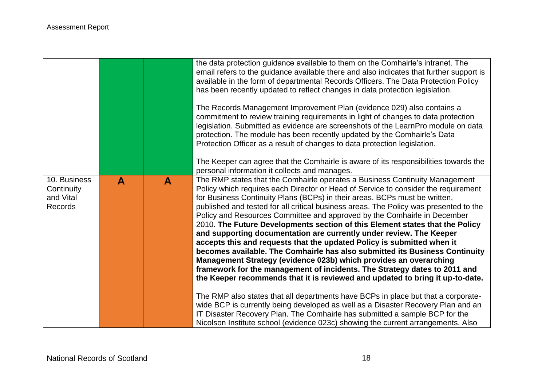|                                                           |              |              | the data protection guidance available to them on the Comhairle's intranet. The<br>email refers to the guidance available there and also indicates that further support is<br>available in the form of departmental Records Officers. The Data Protection Policy<br>has been recently updated to reflect changes in data protection legislation.<br>The Records Management Improvement Plan (evidence 029) also contains a<br>commitment to review training requirements in light of changes to data protection<br>legislation. Submitted as evidence are screenshots of the LearnPro module on data<br>protection. The module has been recently updated by the Comhairle's Data<br>Protection Officer as a result of changes to data protection legislation.<br>The Keeper can agree that the Comhairle is aware of its responsibilities towards the<br>personal information it collects and manages.                                                                                                                                                                                                                                                                                                                                                                                                              |
|-----------------------------------------------------------|--------------|--------------|---------------------------------------------------------------------------------------------------------------------------------------------------------------------------------------------------------------------------------------------------------------------------------------------------------------------------------------------------------------------------------------------------------------------------------------------------------------------------------------------------------------------------------------------------------------------------------------------------------------------------------------------------------------------------------------------------------------------------------------------------------------------------------------------------------------------------------------------------------------------------------------------------------------------------------------------------------------------------------------------------------------------------------------------------------------------------------------------------------------------------------------------------------------------------------------------------------------------------------------------------------------------------------------------------------------------|
| 10. Business<br>Continuity<br>and Vital<br><b>Records</b> | $\mathbf{A}$ | $\mathbf{A}$ | The RMP states that the Comhairle operates a Business Continuity Management<br>Policy which requires each Director or Head of Service to consider the requirement<br>for Business Continuity Plans (BCPs) in their areas. BCPs must be written,<br>published and tested for all critical business areas. The Policy was presented to the<br>Policy and Resources Committee and approved by the Comhairle in December<br>2010. The Future Developments section of this Element states that the Policy<br>and supporting documentation are currently under review. The Keeper<br>accepts this and requests that the updated Policy is submitted when it<br>becomes available. The Comhairle has also submitted its Business Continuity<br>Management Strategy (evidence 023b) which provides an overarching<br>framework for the management of incidents. The Strategy dates to 2011 and<br>the Keeper recommends that it is reviewed and updated to bring it up-to-date.<br>The RMP also states that all departments have BCPs in place but that a corporate-<br>wide BCP is currently being developed as well as a Disaster Recovery Plan and an<br>IT Disaster Recovery Plan. The Comhairle has submitted a sample BCP for the<br>Nicolson Institute school (evidence 023c) showing the current arrangements. Also |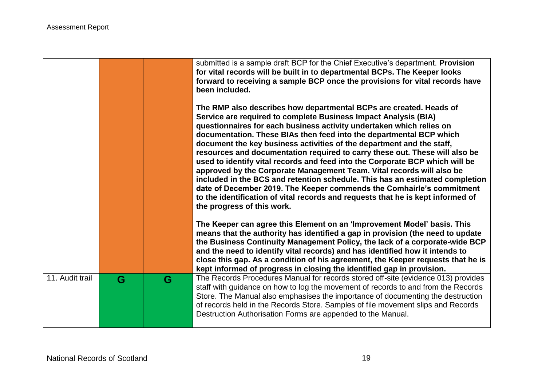|                 |   |   | submitted is a sample draft BCP for the Chief Executive's department. Provision<br>for vital records will be built in to departmental BCPs. The Keeper looks<br>forward to receiving a sample BCP once the provisions for vital records have<br>been included.<br>The RMP also describes how departmental BCPs are created. Heads of<br>Service are required to complete Business Impact Analysis (BIA)<br>questionnaires for each business activity undertaken which relies on<br>documentation. These BIAs then feed into the departmental BCP which<br>document the key business activities of the department and the staff,<br>resources and documentation required to carry these out. These will also be<br>used to identify vital records and feed into the Corporate BCP which will be<br>approved by the Corporate Management Team. Vital records will also be<br>included in the BCS and retention schedule. This has an estimated completion<br>date of December 2019. The Keeper commends the Comhairle's commitment<br>to the identification of vital records and requests that he is kept informed of<br>the progress of this work.<br>The Keeper can agree this Element on an 'Improvement Model' basis. This<br>means that the authority has identified a gap in provision (the need to update<br>the Business Continuity Management Policy, the lack of a corporate-wide BCP<br>and the need to identify vital records) and has identified how it intends to<br>close this gap. As a condition of his agreement, the Keeper requests that he is<br>kept informed of progress in closing the identified gap in provision. |
|-----------------|---|---|-------------------------------------------------------------------------------------------------------------------------------------------------------------------------------------------------------------------------------------------------------------------------------------------------------------------------------------------------------------------------------------------------------------------------------------------------------------------------------------------------------------------------------------------------------------------------------------------------------------------------------------------------------------------------------------------------------------------------------------------------------------------------------------------------------------------------------------------------------------------------------------------------------------------------------------------------------------------------------------------------------------------------------------------------------------------------------------------------------------------------------------------------------------------------------------------------------------------------------------------------------------------------------------------------------------------------------------------------------------------------------------------------------------------------------------------------------------------------------------------------------------------------------------------------------------------------------------------------------------------------------------------|
| 11. Audit trail | G | G | The Records Procedures Manual for records stored off-site (evidence 013) provides<br>staff with guidance on how to log the movement of records to and from the Records<br>Store. The Manual also emphasises the importance of documenting the destruction<br>of records held in the Records Store. Samples of file movement slips and Records<br>Destruction Authorisation Forms are appended to the Manual.                                                                                                                                                                                                                                                                                                                                                                                                                                                                                                                                                                                                                                                                                                                                                                                                                                                                                                                                                                                                                                                                                                                                                                                                                              |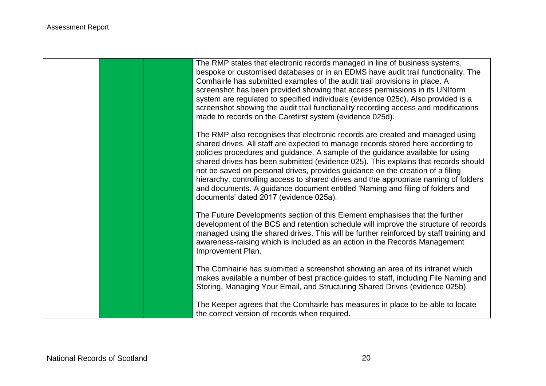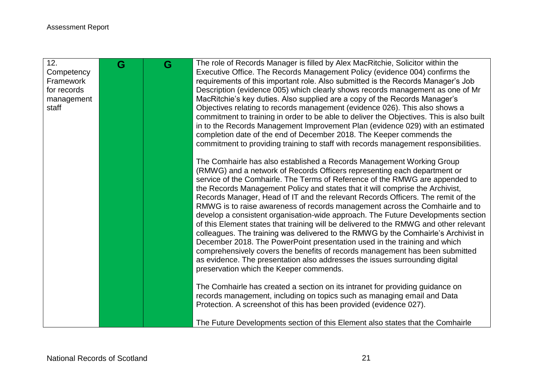| 12.<br>Competency<br>Framework<br>for records<br>management<br>staff | G | G | The role of Records Manager is filled by Alex MacRitchie, Solicitor within the<br>Executive Office. The Records Management Policy (evidence 004) confirms the<br>requirements of this important role. Also submitted is the Records Manager's Job<br>Description (evidence 005) which clearly shows records management as one of Mr<br>MacRitchie's key duties. Also supplied are a copy of the Records Manager's<br>Objectives relating to records management (evidence 026). This also shows a<br>commitment to training in order to be able to deliver the Objectives. This is also built<br>in to the Records Management Improvement Plan (evidence 029) with an estimated<br>completion date of the end of December 2018. The Keeper commends the<br>commitment to providing training to staff with records management responsibilities.                                                                                                                                                                                                   |
|----------------------------------------------------------------------|---|---|-------------------------------------------------------------------------------------------------------------------------------------------------------------------------------------------------------------------------------------------------------------------------------------------------------------------------------------------------------------------------------------------------------------------------------------------------------------------------------------------------------------------------------------------------------------------------------------------------------------------------------------------------------------------------------------------------------------------------------------------------------------------------------------------------------------------------------------------------------------------------------------------------------------------------------------------------------------------------------------------------------------------------------------------------|
|                                                                      |   |   | The Comhairle has also established a Records Management Working Group<br>(RMWG) and a network of Records Officers representing each department or<br>service of the Comhairle. The Terms of Reference of the RMWG are appended to<br>the Records Management Policy and states that it will comprise the Archivist,<br>Records Manager, Head of IT and the relevant Records Officers. The remit of the<br>RMWG is to raise awareness of records management across the Comhairle and to<br>develop a consistent organisation-wide approach. The Future Developments section<br>of this Element states that training will be delivered to the RMWG and other relevant<br>colleagues. The training was delivered to the RMWG by the Comhairle's Archivist in<br>December 2018. The PowerPoint presentation used in the training and which<br>comprehensively covers the benefits of records management has been submitted<br>as evidence. The presentation also addresses the issues surrounding digital<br>preservation which the Keeper commends. |
|                                                                      |   |   | The Comhairle has created a section on its intranet for providing guidance on<br>records management, including on topics such as managing email and Data<br>Protection. A screenshot of this has been provided (evidence 027).                                                                                                                                                                                                                                                                                                                                                                                                                                                                                                                                                                                                                                                                                                                                                                                                                  |
|                                                                      |   |   | The Future Developments section of this Element also states that the Comhairle                                                                                                                                                                                                                                                                                                                                                                                                                                                                                                                                                                                                                                                                                                                                                                                                                                                                                                                                                                  |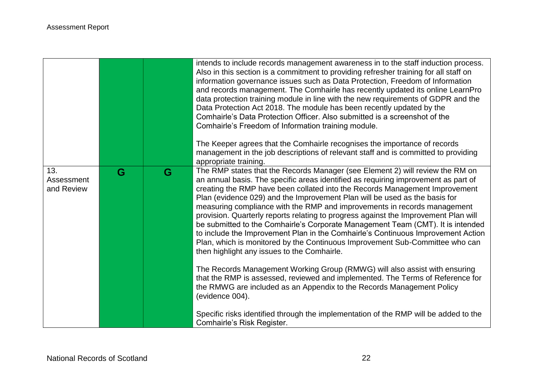|                                 |   |   | intends to include records management awareness in to the staff induction process.<br>Also in this section is a commitment to providing refresher training for all staff on<br>information governance issues such as Data Protection, Freedom of Information<br>and records management. The Comhairle has recently updated its online LearnPro<br>data protection training module in line with the new requirements of GDPR and the<br>Data Protection Act 2018. The module has been recently updated by the<br>Comhairle's Data Protection Officer. Also submitted is a screenshot of the<br>Comhairle's Freedom of Information training module.<br>The Keeper agrees that the Comhairle recognises the importance of records<br>management in the job descriptions of relevant staff and is committed to providing<br>appropriate training.                                                                                                                                                                                                                         |
|---------------------------------|---|---|-----------------------------------------------------------------------------------------------------------------------------------------------------------------------------------------------------------------------------------------------------------------------------------------------------------------------------------------------------------------------------------------------------------------------------------------------------------------------------------------------------------------------------------------------------------------------------------------------------------------------------------------------------------------------------------------------------------------------------------------------------------------------------------------------------------------------------------------------------------------------------------------------------------------------------------------------------------------------------------------------------------------------------------------------------------------------|
| 13.<br>Assessment<br>and Review | G | G | The RMP states that the Records Manager (see Element 2) will review the RM on<br>an annual basis. The specific areas identified as requiring improvement as part of<br>creating the RMP have been collated into the Records Management Improvement<br>Plan (evidence 029) and the Improvement Plan will be used as the basis for<br>measuring compliance with the RMP and improvements in records management<br>provision. Quarterly reports relating to progress against the Improvement Plan will<br>be submitted to the Comhairle's Corporate Management Team (CMT). It is intended<br>to include the Improvement Plan in the Comhairle's Continuous Improvement Action<br>Plan, which is monitored by the Continuous Improvement Sub-Committee who can<br>then highlight any issues to the Comhairle.<br>The Records Management Working Group (RMWG) will also assist with ensuring<br>that the RMP is assessed, reviewed and implemented. The Terms of Reference for<br>the RMWG are included as an Appendix to the Records Management Policy<br>(evidence 004). |
|                                 |   |   | Specific risks identified through the implementation of the RMP will be added to the<br>Comhairle's Risk Register.                                                                                                                                                                                                                                                                                                                                                                                                                                                                                                                                                                                                                                                                                                                                                                                                                                                                                                                                                    |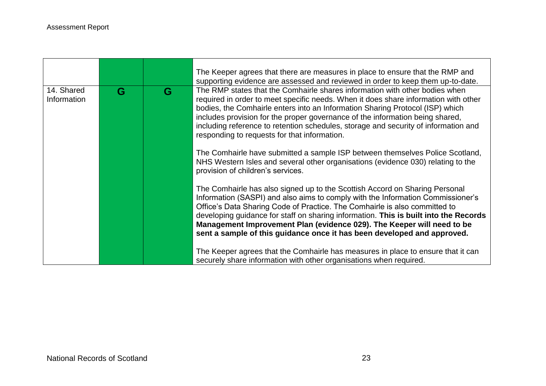|                           |   |   | The Keeper agrees that there are measures in place to ensure that the RMP and<br>supporting evidence are assessed and reviewed in order to keep them up-to-date.                                                                                                                                                                                                                                                                                                                          |
|---------------------------|---|---|-------------------------------------------------------------------------------------------------------------------------------------------------------------------------------------------------------------------------------------------------------------------------------------------------------------------------------------------------------------------------------------------------------------------------------------------------------------------------------------------|
| 14. Shared<br>Information | G | G | The RMP states that the Comhairle shares information with other bodies when<br>required in order to meet specific needs. When it does share information with other<br>bodies, the Comhairle enters into an Information Sharing Protocol (ISP) which<br>includes provision for the proper governance of the information being shared,<br>including reference to retention schedules, storage and security of information and<br>responding to requests for that information.               |
|                           |   |   | The Comhairle have submitted a sample ISP between themselves Police Scotland,<br>NHS Western Isles and several other organisations (evidence 030) relating to the<br>provision of children's services.                                                                                                                                                                                                                                                                                    |
|                           |   |   | The Comhairle has also signed up to the Scottish Accord on Sharing Personal<br>Information (SASPI) and also aims to comply with the Information Commissioner's<br>Office's Data Sharing Code of Practice. The Comhairle is also committed to<br>developing guidance for staff on sharing information. This is built into the Records<br>Management Improvement Plan (evidence 029). The Keeper will need to be<br>sent a sample of this guidance once it has been developed and approved. |
|                           |   |   | The Keeper agrees that the Comhairle has measures in place to ensure that it can<br>securely share information with other organisations when required.                                                                                                                                                                                                                                                                                                                                    |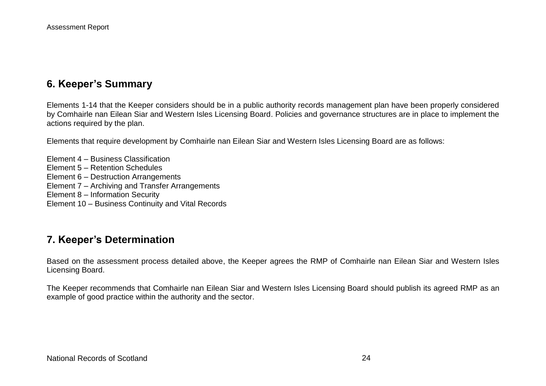# **6. Keeper's Summary**

Elements 1-14 that the Keeper considers should be in a public authority records management plan have been properly considered by Comhairle nan Eilean Siar and Western Isles Licensing Board. Policies and governance structures are in place to implement the actions required by the plan.

Elements that require development by Comhairle nan Eilean Siar and Western Isles Licensing Board are as follows:

Element 4 – Business Classification Element 5 – Retention Schedules Element 6 – Destruction Arrangements Element 7 – Archiving and Transfer Arrangements Element 8 – Information Security Element 10 – Business Continuity and Vital Records

# **7. Keeper's Determination**

Based on the assessment process detailed above, the Keeper agrees the RMP of Comhairle nan Eilean Siar and Western Isles Licensing Board.

The Keeper recommends that Comhairle nan Eilean Siar and Western Isles Licensing Board should publish its agreed RMP as an example of good practice within the authority and the sector.